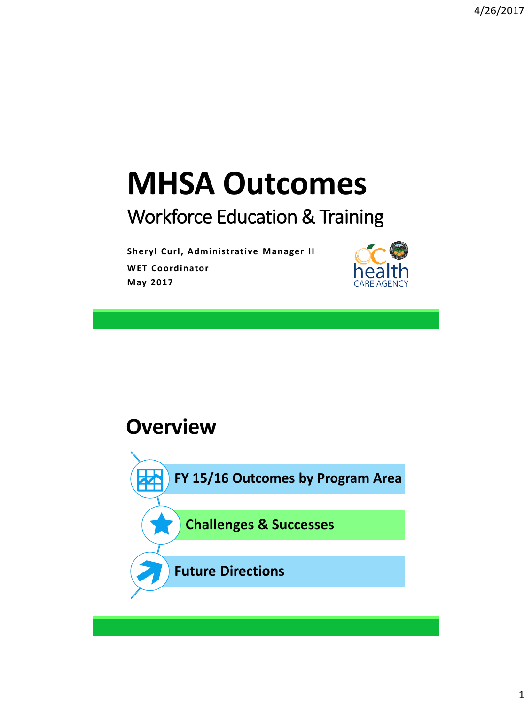# **MHSA Outcomes**

#### Workforce Education & Training

**Sheryl Curl, Administrative Manager II WET Coordinator May 2017**



#### **Overview**

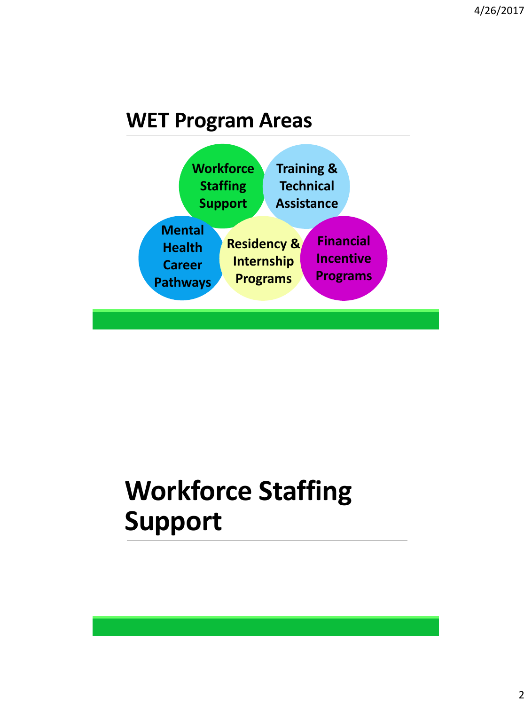#### **WET Program Areas**



# **Workforce Staffing Support**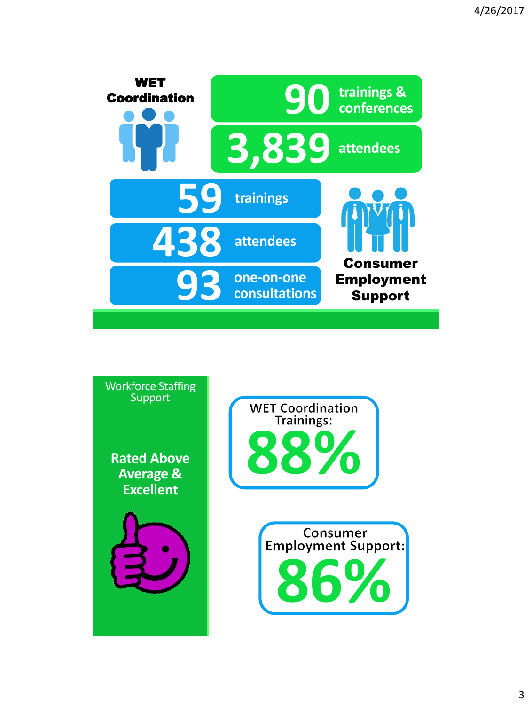

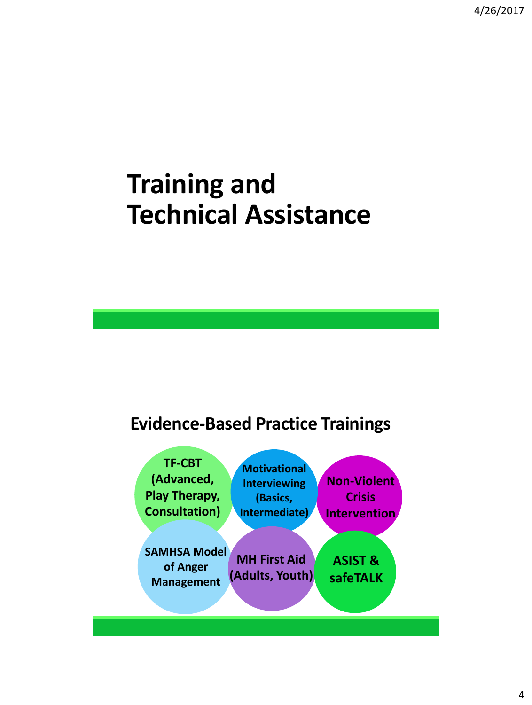### **Training and Technical Assistance**

#### **Evidence-Based Practice Trainings**

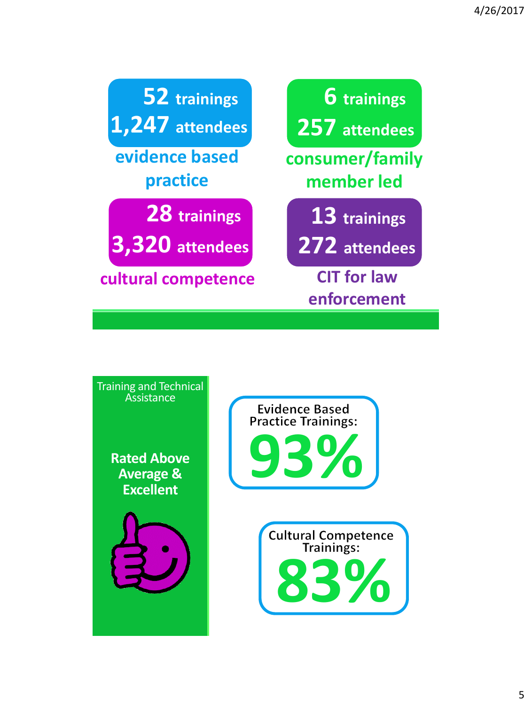| 52 trainings        | <b>6</b> trainings                |
|---------------------|-----------------------------------|
| 1,247 attendees     | 257 attendees                     |
| evidence based      | consumer/family                   |
| practice            | member led                        |
| 28 trainings        | 13 trainings                      |
| 3,320 attendees     | 272 attendees                     |
| cultural competence | <b>CIT for law</b><br>enforcement |

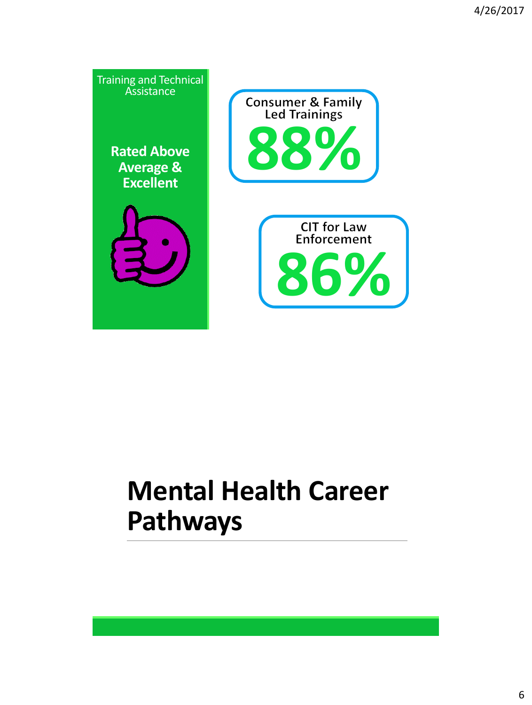

# **Mental Health Career Pathways**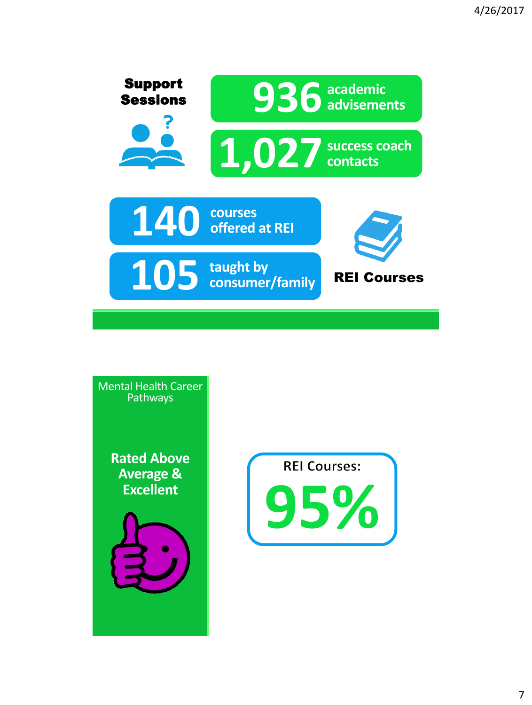

Mental Health Career Pathways

> **Rated Above Average & Excellent**





7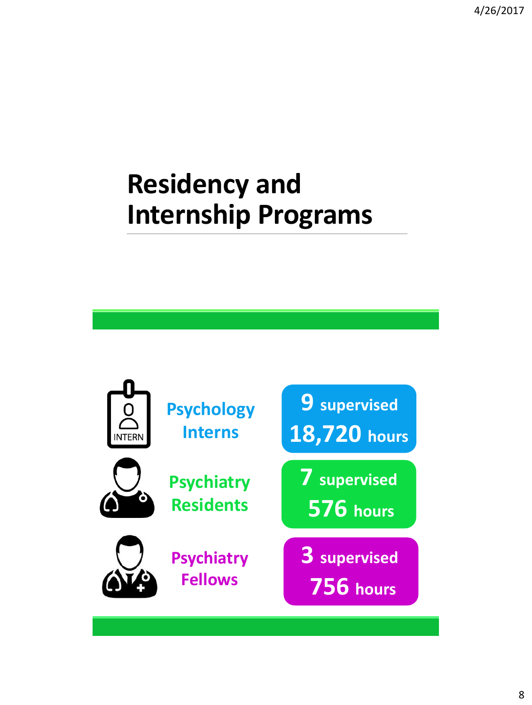4/26/2017

### **Residency and Internship Programs**

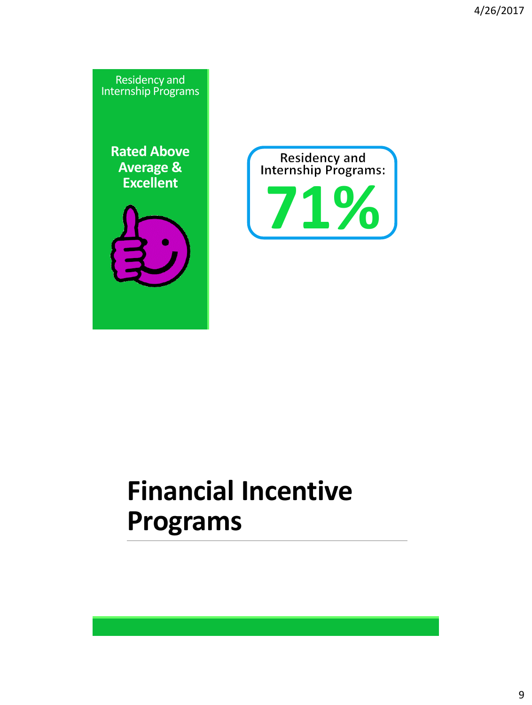

# **Financial Incentive Programs**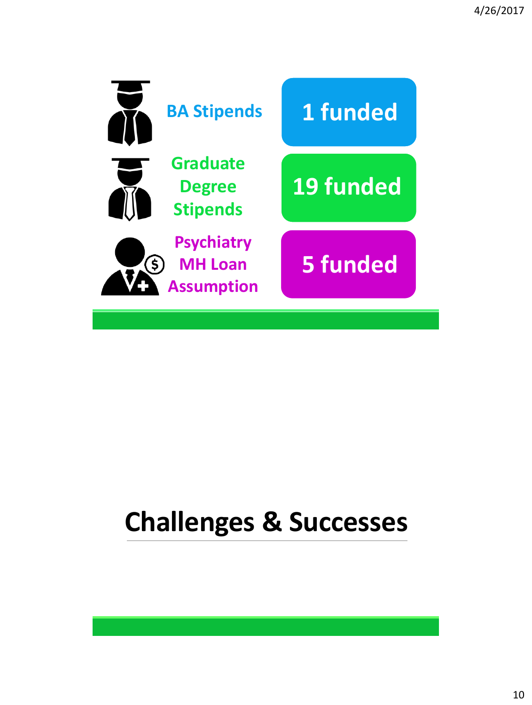

## **Challenges & Successes**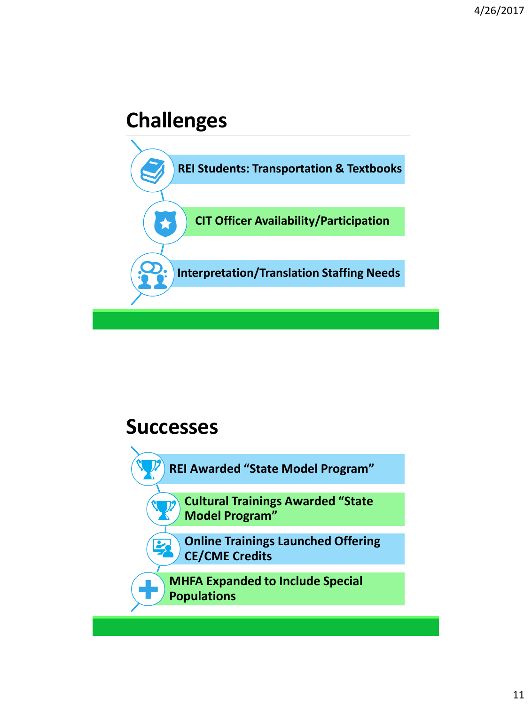#### **Challenges**



#### **Successes**

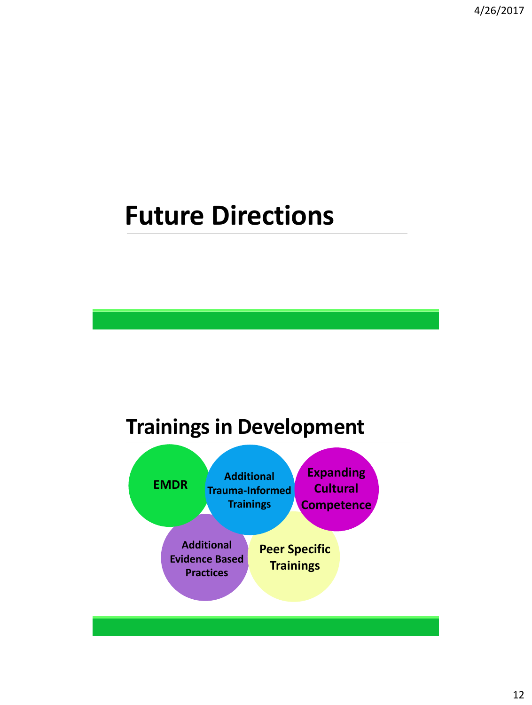### **Future Directions**

#### **Trainings in Development**